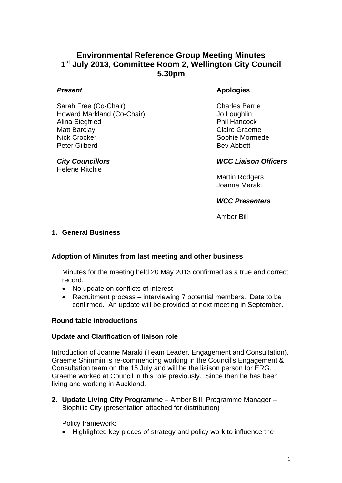# **Environmental Reference Group Meeting Minutes 1st July 2013, Committee Room 2, Wellington City Council 5.30pm**

## *Present*

Sarah Free (Co-Chair) Howard Markland (Co-Chair) Alina Siegfried Matt Barclay Nick Crocker Peter Gilberd

*City Councillors* Helene Ritchie

# **Apologies**

Charles Barrie Jo Loughlin Phil Hancock Claire Graeme Sophie Mormede Bev Abbott

## *WCC Liaison Officers*

Martin Rodgers Joanne Maraki

#### *WCC Presenters*

Amber Bill

## **1. General Business**

# **Adoption of Minutes from last meeting and other business**

Minutes for the meeting held 20 May 2013 confirmed as a true and correct record.

- No update on conflicts of interest
- Recruitment process interviewing 7 potential members. Date to be confirmed. An update will be provided at next meeting in September.

#### **Round table introductions**

#### **Update and Clarification of liaison role**

Introduction of Joanne Maraki (Team Leader, Engagement and Consultation). Graeme Shimmin is re-commencing working in the Council's Engagement & Consultation team on the 15 July and will be the liaison person for ERG. Graeme worked at Council in this role previously. Since then he has been living and working in Auckland.

**2. Update Living City Programme –** Amber Bill, Programme Manager – Biophilic City (presentation attached for distribution)

Policy framework:

• Highlighted key pieces of strategy and policy work to influence the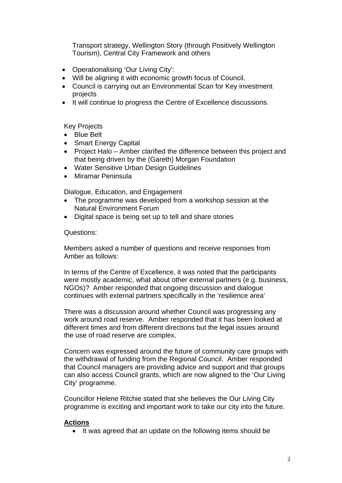Transport strategy, Wellington Story (through Positively Wellington Tourism), Central City Framework and others

- Operationalising 'Our Living City':
- Will be aligning it with economic growth focus of Council.
- Council is carrying out an Environmental Scan for Key investment projects
- It will continue to progress the Centre of Excellence discussions.

Key Projects

- Blue Belt
- Smart Energy Capital
- Project Halo Amber clarified the difference between this project and that being driven by the (Gareth) Morgan Foundation
- Water Sensitive Urban Design Guidelines
- Miramar Peninsula

Dialogue, Education, and Engagement

- The programme was developed from a workshop session at the Natural Environment Forum
- Digital space is being set up to tell and share stories

Questions:

Members asked a number of questions and receive responses from Amber as follows:

In terms of the Centre of Excellence, it was noted that the participants were mostly academic, what about other external partners (e.g. business, NGOs)? Amber responded that ongoing discussion and dialogue continues with external partners specifically in the 'resilience area'

There was a discussion around whether Council was progressing any work around road reserve. Amber responded that it has been looked at different times and from different directions but the legal issues around the use of road reserve are complex.

Concern was expressed around the future of community care groups with the withdrawal of funding from the Regional Council. Amber responded that Council managers are providing advice and support and that groups can also access Council grants, which are now aligned to the 'Our Living City' programme.

Councillor Helene Ritchie stated that she believes the Our Living City programme is exciting and important work to take our city into the future.

#### **Actions**

• It was agreed that an update on the following items should be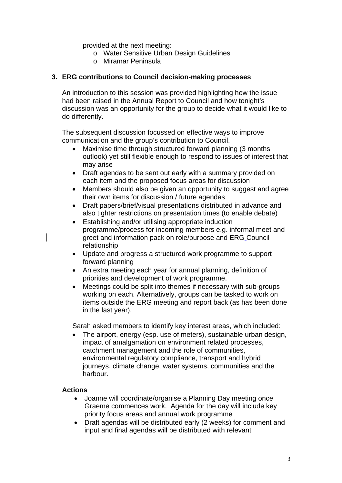provided at the next meeting:

- o Water Sensitive Urban Design Guidelines
- o Miramar Peninsula

## **3. ERG contributions to Council decision-making processes**

An introduction to this session was provided highlighting how the issue had been raised in the Annual Report to Council and how tonight's discussion was an opportunity for the group to decide what it would like to do differently.

The subsequent discussion focussed on effective ways to improve communication and the group's contribution to Council.

- Maximise time through structured forward planning (3 months) outlook) yet still flexible enough to respond to issues of interest that may arise
- Draft agendas to be sent out early with a summary provided on each item and the proposed focus areas for discussion
- Members should also be given an opportunity to suggest and agree their own items for discussion / future agendas
- Draft papers/brief/visual presentations distributed in advance and also tighter restrictions on presentation times (to enable debate)
- Establishing and/or utilising appropriate induction programme/process for incoming members e.g. informal meet and greet and information pack on role/purpose and ERG Council relationship
- Update and progress a structured work programme to support forward planning
- An extra meeting each year for annual planning, definition of priorities and development of work programme.
- Meetings could be split into themes if necessary with sub-groups working on each. Alternatively, groups can be tasked to work on items outside the ERG meeting and report back (as has been done in the last year).

Sarah asked members to identify key interest areas, which included:

• The airport, energy (esp. use of meters), sustainable urban design, impact of amalgamation on environment related processes, catchment management and the role of communities, environmental regulatory compliance, transport and hybrid journeys, climate change, water systems, communities and the harbour.

#### **Actions**

- Joanne will coordinate/organise a Planning Day meeting once Graeme commences work. Agenda for the day will include key priority focus areas and annual work programme
- Draft agendas will be distributed early (2 weeks) for comment and input and final agendas will be distributed with relevant